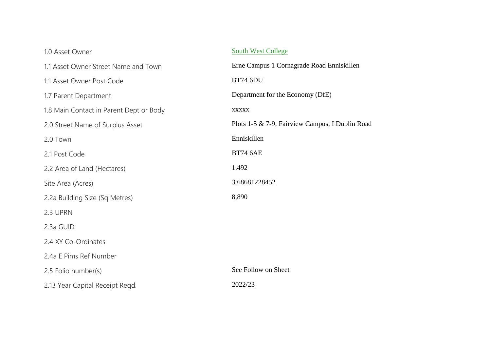## 1.0 Asset Owner [South West College](http://sharepoint13/sites/lpsoscar/_layouts/15/listform.aspx?PageType=4&ListId=b36eba18-ded7-4f06-907d-09ce00d16fbe&ID=55&RootFolder=*) 1.1 Asset Owner Street Name and Town Erne Campus 1 Cornagrade Road Enniskillen 1.1 Asset Owner Post Code BT74 6DU 1.7 Parent Department Department for the Economy (DfE) 1.8 Main Contact in Parent Dept or Body xxxxx 2.0 Street Name of Surplus Asset Plots 1-5 & 7-9, Fairview Campus, I Dublin Road 2.0 Town Enniskillen 2.1 Post Code BT74 6AE 2.2 Area of Land (Hectares) 1.492 Site Area (Acres) 3.68681228452 2.2a Building Size (Sq Metres) 8,890 2.3 UPRN 2.3a GUID 2.4 XY Co-Ordinates 2.4a E Pims Ref Number 2.5 Folio number(s) See Follow on Sheet 2.13 Year Capital Receipt Reqd. 2022/23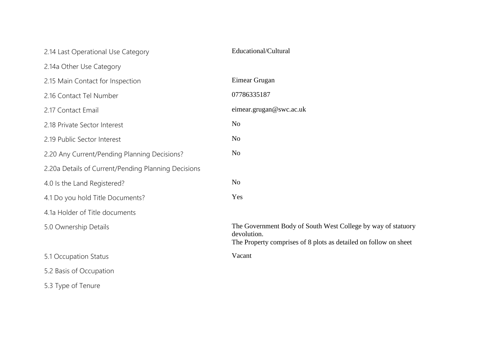| 2.14 Last Operational Use Category                  | Educational/Cultural                                                                                                                            |
|-----------------------------------------------------|-------------------------------------------------------------------------------------------------------------------------------------------------|
| 2.14a Other Use Category                            |                                                                                                                                                 |
| 2.15 Main Contact for Inspection                    | Eimear Grugan                                                                                                                                   |
| 2.16 Contact Tel Number                             | 07786335187                                                                                                                                     |
| 2.17 Contact Email                                  | eimear.grugan@swc.ac.uk                                                                                                                         |
| 2.18 Private Sector Interest                        | N <sub>o</sub>                                                                                                                                  |
| 2.19 Public Sector Interest                         | N <sub>o</sub>                                                                                                                                  |
| 2.20 Any Current/Pending Planning Decisions?        | N <sub>o</sub>                                                                                                                                  |
| 2.20a Details of Current/Pending Planning Decisions |                                                                                                                                                 |
| 4.0 Is the Land Registered?                         | N <sub>o</sub>                                                                                                                                  |
| 4.1 Do you hold Title Documents?                    | Yes                                                                                                                                             |
| 4.1a Holder of Title documents                      |                                                                                                                                                 |
| 5.0 Ownership Details                               | The Government Body of South West College by way of statuory<br>devolution.<br>The Property comprises of 8 plots as detailed on follow on sheet |
| 5.1 Occupation Status                               | Vacant                                                                                                                                          |
| 5.2 Basis of Occupation                             |                                                                                                                                                 |
| 5.3 Type of Tenure                                  |                                                                                                                                                 |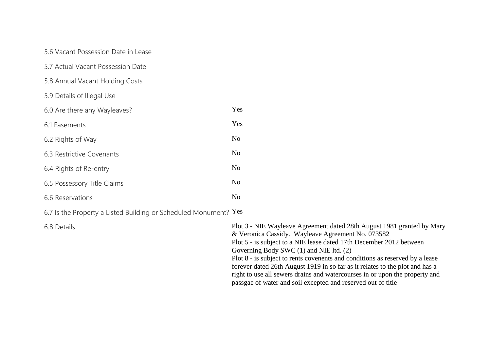5.6 Vacant Possession Date in Lease

- 5.7 Actual Vacant Possession Date
- 5.8 Annual Vacant Holding Costs
- 5.9 Details of Illegal Use

| 6.0 Are there any Wayleaves? | Yes            |
|------------------------------|----------------|
| 6.1 Easements                | Yes            |
| 6.2 Rights of Way            | N <sub>0</sub> |
| 6.3 Restrictive Covenants    | N <sub>o</sub> |
| 6.4 Rights of Re-entry       | N <sub>o</sub> |
| 6.5 Possessory Title Claims  | N <sub>0</sub> |
| 6.6 Reservations             | N <sub>0</sub> |
|                              |                |

6.7 Is the Property a Listed Building or Scheduled Monument? Yes

6.8 Details Plot 3 - NIE Wayleave Agreement dated 28th August 1981 granted by Mary & Veronica Cassidy. Wayleave Agreement No. 073582 Plot 5 - is subject to a NIE lease dated 17th December 2012 between Governing Body SWC (1) and NIE ltd. (2) Plot 8 - is subject to rents covenents and conditions as reserved by a lease forever dated 26th August 1919 in so far as it relates to the plot and has a right to use all sewers drains and watercourses in or upon the property and passgae of water and soil excepted and reserved out of title